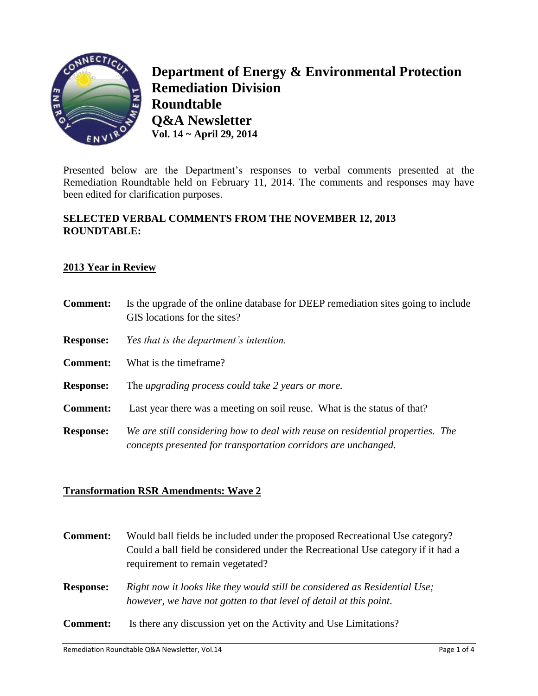

**Department of Energy & Environmental Protection Remediation Division Roundtable Q&A Newsletter Vol. 14 ~ April 29, 2014**

Presented below are the Department's responses to verbal comments presented at the Remediation Roundtable held on February 11, 2014. The comments and responses may have been edited for clarification purposes.

# **SELECTED VERBAL COMMENTS FROM THE NOVEMBER 12, 2013 ROUNDTABLE:**

#### **2013 Year in Review**

| <b>Comment:</b>  | Is the upgrade of the online database for DEEP remediation sites going to include<br>GIS locations for the sites?                                |
|------------------|--------------------------------------------------------------------------------------------------------------------------------------------------|
| <b>Response:</b> | Yes that is the department's intention.                                                                                                          |
| <b>Comment:</b>  | What is the timeframe?                                                                                                                           |
| <b>Response:</b> | The upgrading process could take 2 years or more.                                                                                                |
| <b>Comment:</b>  | Last year there was a meeting on soil reuse. What is the status of that?                                                                         |
| <b>Response:</b> | We are still considering how to deal with reuse on residential properties. The<br>concepts presented for transportation corridors are unchanged. |

# **Transformation RSR Amendments: Wave 2**

| <b>Comment:</b>  | Would ball fields be included under the proposed Recreational Use category?<br>Could a ball field be considered under the Recreational Use category if it had a<br>requirement to remain vegetated? |
|------------------|-----------------------------------------------------------------------------------------------------------------------------------------------------------------------------------------------------|
| <b>Response:</b> | Right now it looks like they would still be considered as Residential Use;<br>however, we have not gotten to that level of detail at this point.                                                    |
| <b>Comment:</b>  | Is there any discussion yet on the Activity and Use Limitations?                                                                                                                                    |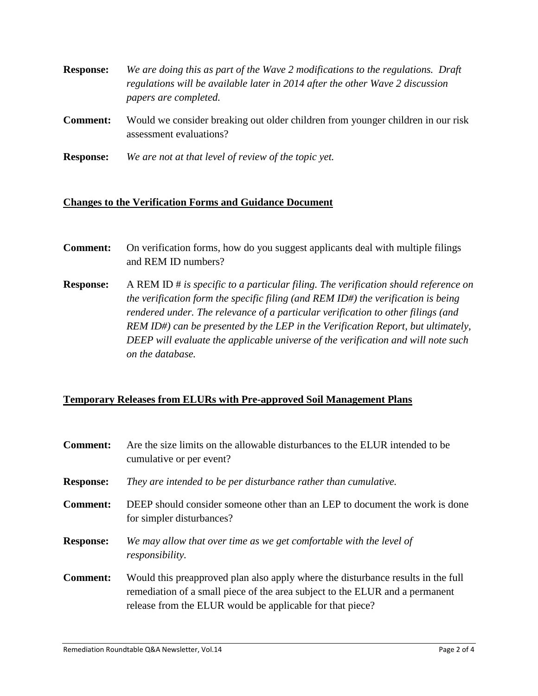| <b>Response:</b> | We are doing this as part of the Wave 2 modifications to the regulations. Draft |
|------------------|---------------------------------------------------------------------------------|
|                  | regulations will be available later in 2014 after the other Wave 2 discussion   |
|                  | papers are completed.                                                           |

- **Comment:** Would we consider breaking out older children from younger children in our risk assessment evaluations?
- **Response:** *We are not at that level of review of the topic yet.*

#### **Changes to the Verification Forms and Guidance Document**

- **Comment:** On verification forms, how do you suggest applicants deal with multiple filings and REM ID numbers?
- **Response:** A REM ID # *is specific to a particular filing. The verification should reference on the verification form the specific filing (and REM ID#) the verification is being rendered under. The relevance of a particular verification to other filings (and REM ID#) can be presented by the LEP in the Verification Report, but ultimately, DEEP will evaluate the applicable universe of the verification and will note such on the database.*

# **Temporary Releases from ELURs with Pre-approved Soil Management Plans**

| <b>Comment:</b>  | Are the size limits on the allowable disturbances to the ELUR intended to be<br>cumulative or per event?                                                                                                                      |
|------------------|-------------------------------------------------------------------------------------------------------------------------------------------------------------------------------------------------------------------------------|
| <b>Response:</b> | They are intended to be per disturbance rather than cumulative.                                                                                                                                                               |
| <b>Comment:</b>  | DEEP should consider someone other than an LEP to document the work is done<br>for simpler disturbances?                                                                                                                      |
| <b>Response:</b> | We may allow that over time as we get comfortable with the level of<br>responsibility.                                                                                                                                        |
| <b>Comment:</b>  | Would this preapproved plan also apply where the disturbance results in the full<br>remediation of a small piece of the area subject to the ELUR and a permanent<br>release from the ELUR would be applicable for that piece? |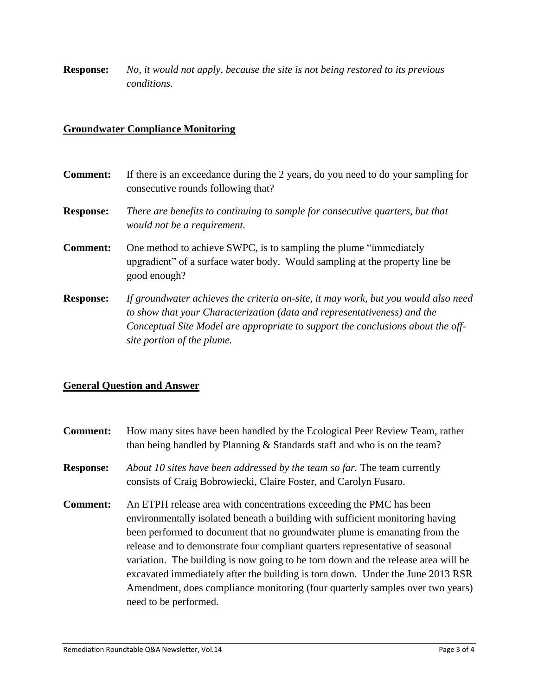**Response:** *No, it would not apply, because the site is not being restored to its previous conditions.*

### **Groundwater Compliance Monitoring**

| <b>Comment:</b>  | If there is an exceedance during the 2 years, do you need to do your sampling for<br>consecutive rounds following that?                                                                                                                                                         |
|------------------|---------------------------------------------------------------------------------------------------------------------------------------------------------------------------------------------------------------------------------------------------------------------------------|
| <b>Response:</b> | There are benefits to continuing to sample for consecutive quarters, but that<br>would not be a requirement.                                                                                                                                                                    |
| <b>Comment:</b>  | One method to achieve SWPC, is to sampling the plume "immediately"<br>upgradient" of a surface water body. Would sampling at the property line be<br>good enough?                                                                                                               |
| <b>Response:</b> | If groundwater achieves the criteria on-site, it may work, but you would also need<br>to show that your Characterization (data and representativeness) and the<br>Conceptual Site Model are appropriate to support the conclusions about the off-<br>site portion of the plume. |

#### **General Question and Answer**

**Comment:** How many sites have been handled by the Ecological Peer Review Team, rather than being handled by Planning & Standards staff and who is on the team? **Response:** *About 10 sites have been addressed by the team so far.* The team currently consists of Craig Bobrowiecki, Claire Foster, and Carolyn Fusaro. **Comment:** An ETPH release area with concentrations exceeding the PMC has been environmentally isolated beneath a building with sufficient monitoring having been performed to document that no groundwater plume is emanating from the release and to demonstrate four compliant quarters representative of seasonal variation. The building is now going to be torn down and the release area will be excavated immediately after the building is torn down. Under the June 2013 RSR Amendment, does compliance monitoring (four quarterly samples over two years) need to be performed.